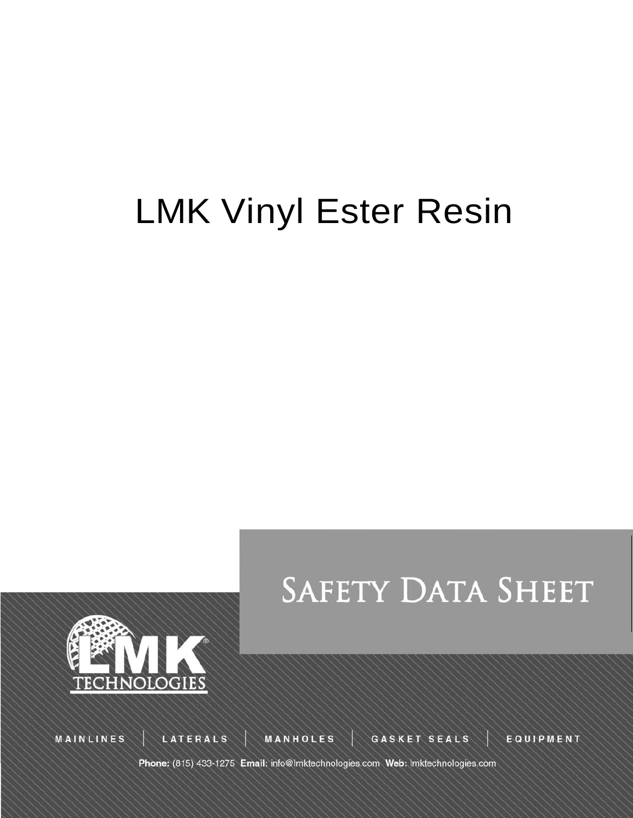# LMK Vinyl Ester Resin





**MAINLINES** 

LATERALS

MANHOLES

GASKET SEALS

EQUIPMENT

Phone: (815) 433-1275 Email: info@lmktechnologies.com Web: lmktechnologies.com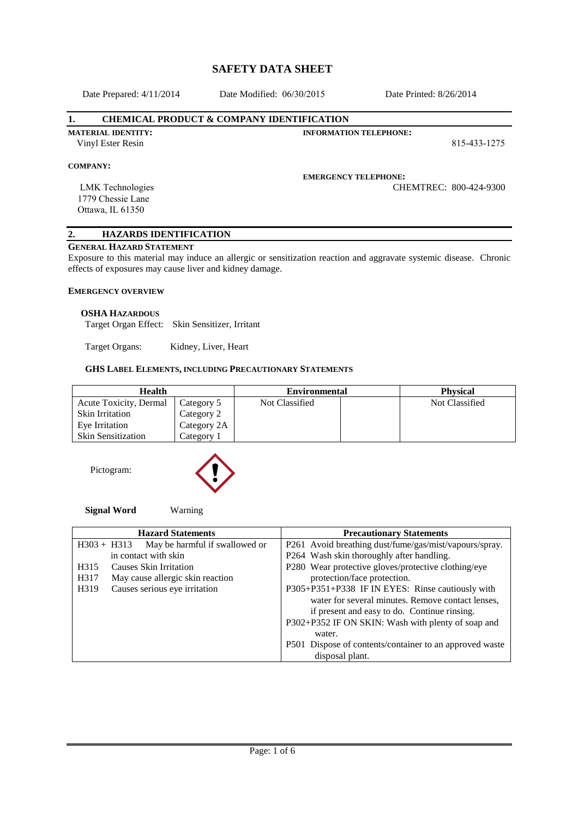Date Prepared: 4/11/2014

Date Modified: 06/30/2015 Date Printed: 8/26/2014

## **1. CHEMICAL PRODUCT & COMPANY IDENTIFICATION**

**INFORMATION TELEPHONE:**

815-433-1275

## **COMPANY:**

#### **EMERGENCY TELEPHONE:**

LMK Technologies 1779 Chessie Lane Ottawa, IL 61350

**MATERIAL IDENTITY:** Vinyl Ester Resin

CHEMTREC: 800-424-9300

# **2. HAZARDS IDENTIFICATION**

## **GENERAL HAZARD STATEMENT**

Exposure to this material may induce an allergic or sensitization reaction and aggravate systemic disease. Chronic effects of exposures may cause liver and kidney damage.

## **EMERGENCY OVERVIEW**

#### **OSHA HAZARDOUS**

Target Organ Effect: Skin Sensitizer, Irritant

Target Organs: Kidney, Liver, Heart

# **GHS LABEL ELEMENTS, INCLUDING PRECAUTIONARY STATEMENTS**

| <b>Health</b>             |             | <b>Environmental</b> |  | <b>Physical</b> |  |
|---------------------------|-------------|----------------------|--|-----------------|--|
| Acute Toxicity, Dermal    | Category 5  | Not Classified       |  | Not Classified  |  |
| <b>Skin Irritation</b>    | Category 2  |                      |  |                 |  |
| Eye Irritation            | Category 2A |                      |  |                 |  |
| <b>Skin Sensitization</b> | Category 1  |                      |  |                 |  |

Pictogram:



#### **Signal Word** Warning

| <b>Hazard Statements</b>                             | <b>Precautionary Statements</b>                              |  |  |
|------------------------------------------------------|--------------------------------------------------------------|--|--|
| May be harmful if swallowed or<br>$H303 + H313$      | P261 Avoid breathing dust/fume/gas/mist/vapours/spray.       |  |  |
| in contact with skin                                 | P264 Wash skin thoroughly after handling.                    |  |  |
| Causes Skin Irritation<br>H <sub>3</sub> 15          | P280 Wear protective gloves/protective clothing/eye          |  |  |
| May cause allergic skin reaction<br>H <sub>317</sub> | protection/face protection.                                  |  |  |
| Causes serious eye irritation<br>H319                | P305+P351+P338 IF IN EYES: Rinse cautiously with             |  |  |
|                                                      | water for several minutes. Remove contact lenses,            |  |  |
|                                                      | if present and easy to do. Continue rinsing.                 |  |  |
|                                                      | P302+P352 IF ON SKIN: Wash with plenty of soap and<br>water. |  |  |
|                                                      | P501 Dispose of contents/container to an approved waste      |  |  |
|                                                      | disposal plant.                                              |  |  |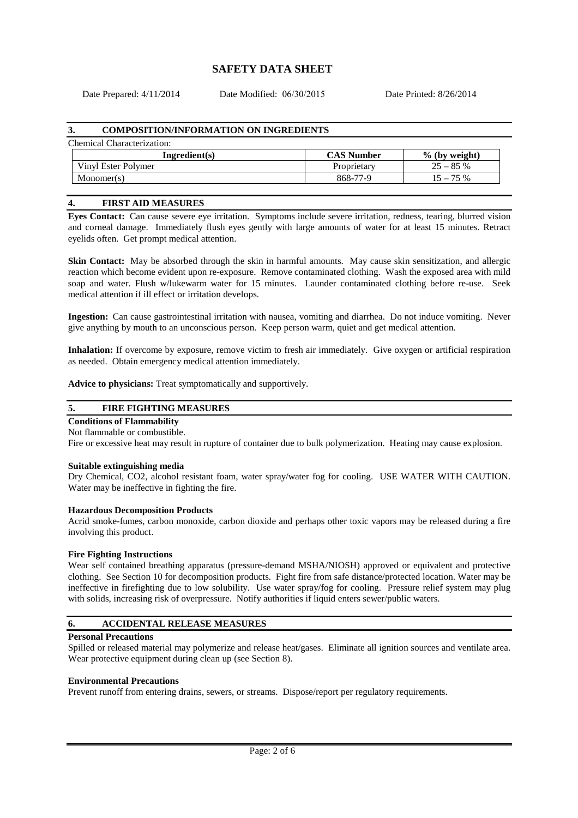Date Prepared: 4/11/2014

Date Modified: 06/30/2015 Date Printed: 8/26/2014

## **3. COMPOSITION/INFORMATION ON INGREDIENTS**

## Chemical Characterization:

| Ingradient(s)       | <b>CAS Number</b> | $%$ (by weight) |
|---------------------|-------------------|-----------------|
| Vinyl Ester Polymer | Proprietary       | $25 - 85%$      |
| Monomer(s)          | 868-77-9          | $15 - 75\%$     |

## **4. FIRST AID MEASURES**

**Eyes Contact:** Can cause severe eye irritation. Symptoms include severe irritation, redness, tearing, blurred vision and corneal damage. Immediately flush eyes gently with large amounts of water for at least 15 minutes. Retract eyelids often. Get prompt medical attention.

**Skin Contact:** May be absorbed through the skin in harmful amounts. May cause skin sensitization, and allergic reaction which become evident upon re-exposure. Remove contaminated clothing. Wash the exposed area with mild soap and water. Flush w/lukewarm water for 15 minutes. Launder contaminated clothing before re-use. Seek medical attention if ill effect or irritation develops.

**Ingestion:** Can cause gastrointestinal irritation with nausea, vomiting and diarrhea. Do not induce vomiting. Never give anything by mouth to an unconscious person. Keep person warm, quiet and get medical attention.

**Inhalation:** If overcome by exposure, remove victim to fresh air immediately. Give oxygen or artificial respiration as needed. Obtain emergency medical attention immediately.

**Advice to physicians:** Treat symptomatically and supportively.

# **5. FIRE FIGHTING MEASURES**

## **Conditions of Flammability**

#### Not flammable or combustible.

Fire or excessive heat may result in rupture of container due to bulk polymerization. Heating may cause explosion.

#### **Suitable extinguishing media**

Dry Chemical, CO2, alcohol resistant foam, water spray/water fog for cooling. USE WATER WITH CAUTION. Water may be ineffective in fighting the fire.

#### **Hazardous Decomposition Products**

Acrid smoke-fumes, carbon monoxide, carbon dioxide and perhaps other toxic vapors may be released during a fire involving this product.

#### **Fire Fighting Instructions**

Wear self contained breathing apparatus (pressure-demand MSHA/NIOSH) approved or equivalent and protective clothing. See Section 10 for decomposition products. Fight fire from safe distance/protected location. Water may be ineffective in firefighting due to low solubility. Use water spray/fog for cooling. Pressure relief system may plug with solids, increasing risk of overpressure. Notify authorities if liquid enters sewer/public waters.

# **6. ACCIDENTAL RELEASE MEASURES**

#### **Personal Precautions**

Spilled or released material may polymerize and release heat/gases. Eliminate all ignition sources and ventilate area. Wear protective equipment during clean up (see Section 8).

## **Environmental Precautions**

Prevent runoff from entering drains, sewers, or streams. Dispose/report per regulatory requirements.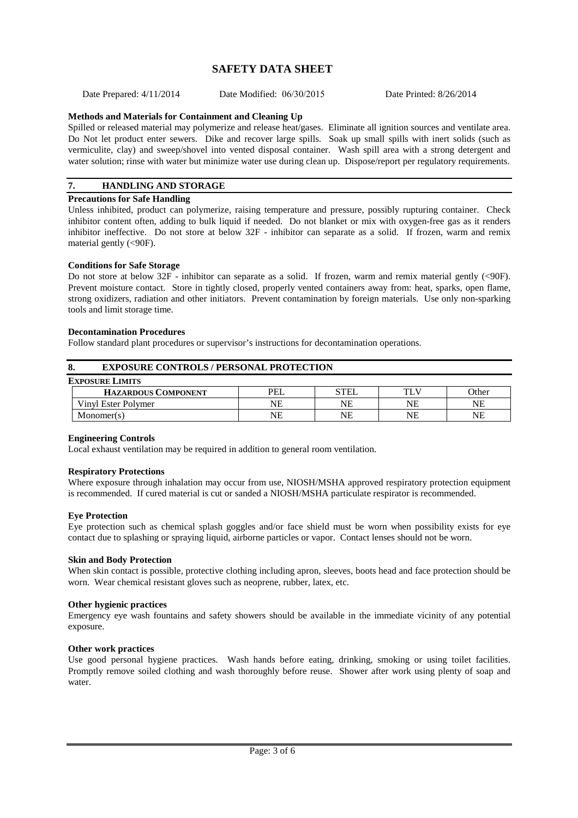Date Prepared: 4/11/2014 Date Modified: 06/30/2015 Date Printed: 8/26/2014

# **Methods and Materials for Containment and Cleaning Up**

Spilled or released material may polymerize and release heat/gases. Eliminate all ignition sources and ventilate area. Do Not let product enter sewers. Dike and recover large spills. Soak up small spills with inert solids (such as vermiculite, clay) and sweep/shovel into vented disposal container. Wash spill area with a strong detergent and water solution; rinse with water but minimize water use during clean up. Dispose/report per regulatory requirements.

# **7. HANDLING AND STORAGE**

# **Precautions for Safe Handling**

Unless inhibited, product can polymerize, raising temperature and pressure, possibly rupturing container. Check inhibitor content often, adding to bulk liquid if needed. Do not blanket or mix with oxygen-free gas as it renders inhibitor ineffective. Do not store at below 32F - inhibitor can separate as a solid. If frozen, warm and remix material gently (<90F).

# **Conditions for Safe Storage**

Do not store at below 32F - inhibitor can separate as a solid. If frozen, warm and remix material gently (<90F). Prevent moisture contact. Store in tightly closed, properly vented containers away from: heat, sparks, open flame, strong oxidizers, radiation and other initiators. Prevent contamination by foreign materials. Use only non-sparking tools and limit storage time.

## **Decontamination Procedures**

Follow standard plant procedures or supervisor's instructions for decontamination operations.

| 8.                         | <b>EXPOSURE CONTROLS / PERSONAL PROTECTION</b> |      |     |           |
|----------------------------|------------------------------------------------|------|-----|-----------|
| <b>EXPOSURE LIMITS</b>     |                                                |      |     |           |
| <b>HAZARDOUS COMPONENT</b> | <b>PEL</b>                                     | STEL | TLV | Other     |
| Vinyl Ester Polymer        | NΕ                                             | NΕ   | NΕ  | <b>NE</b> |
| Monomer(s)                 | NE                                             | NΕ   | NE  | <b>NE</b> |

# **Engineering Controls**

Local exhaust ventilation may be required in addition to general room ventilation.

## **Respiratory Protections**

Where exposure through inhalation may occur from use, NIOSH/MSHA approved respiratory protection equipment is recommended. If cured material is cut or sanded a NIOSH/MSHA particulate respirator is recommended.

# **Eye Protection**

Eye protection such as chemical splash goggles and/or face shield must be worn when possibility exists for eye contact due to splashing or spraying liquid, airborne particles or vapor. Contact lenses should not be worn.

# **Skin and Body Protection**

When skin contact is possible, protective clothing including apron, sleeves, boots head and face protection should be worn. Wear chemical resistant gloves such as neoprene, rubber, latex, etc.

# **Other hygienic practices**

Emergency eye wash fountains and safety showers should be available in the immediate vicinity of any potential exposure.

# **Other work practices**

Use good personal hygiene practices. Wash hands before eating, drinking, smoking or using toilet facilities. Promptly remove soiled clothing and wash thoroughly before reuse. Shower after work using plenty of soap and water.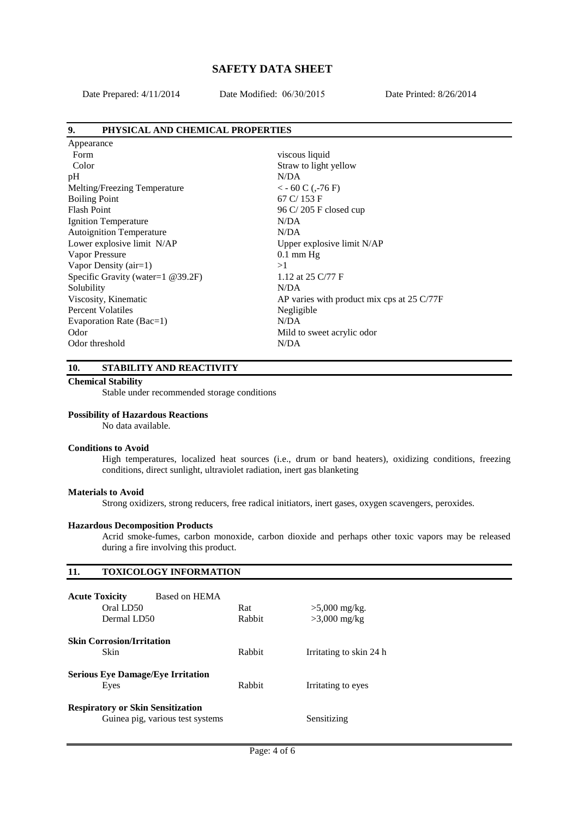Date Prepared: 4/11/2014

 $\mathbf{A}$ 

Date Modified: 06/30/2015 Date Printed: 8/26/2014

# **9. PHYSICAL AND CHEMICAL PROPERTIES**

| Appearance                        |                                                               |
|-----------------------------------|---------------------------------------------------------------|
| Form                              | viscous liquid                                                |
| Color                             | Straw to light yellow                                         |
| pH                                | N/DA                                                          |
| Melting/Freezing Temperature      | $<-60 C$ ( $-76 F$ )                                          |
| <b>Boiling Point</b>              | $67 \text{ C} / 153 \text{ F}$                                |
| <b>Flash Point</b>                | 96 C/205 F closed cup                                         |
| <b>Ignition Temperature</b>       | N/DA                                                          |
| <b>Autoignition Temperature</b>   | N/DA                                                          |
| Lower explosive limit N/AP        | Upper explosive limit N/AP                                    |
| Vapor Pressure                    | $0.1 \text{ mm Hg}$                                           |
| Vapor Density $(air=1)$           | >1                                                            |
| Specific Gravity (water=1 @39.2F) | 1.12 at 25 C/77 F                                             |
| Solubility                        | N/DA                                                          |
| Viscosity, Kinematic              | AP varies with product mix cps at $25 \text{ C}/77 \text{ F}$ |
| <b>Percent Volatiles</b>          | Negligible                                                    |
| Evaporation Rate (Bac=1)          | N/DA                                                          |
| Odor                              | Mild to sweet acrylic odor                                    |
| Odor threshold                    | N/DA                                                          |
|                                   |                                                               |

# **10. STABILITY AND REACTIVITY**

# **Chemical Stability**

Stable under recommended storage conditions

## **Possibility of Hazardous Reactions**

No data available.

#### **Conditions to Avoid**

High temperatures, localized heat sources (i.e., drum or band heaters), oxidizing conditions, freezing conditions, direct sunlight, ultraviolet radiation, inert gas blanketing

#### **Materials to Avoid**

Strong oxidizers, strong reducers, free radical initiators, inert gases, oxygen scavengers, peroxides.

## **Hazardous Decomposition Products**

Acrid smoke-fumes, carbon monoxide, carbon dioxide and perhaps other toxic vapors may be released during a fire involving this product.

# **11. TOXICOLOGY INFORMATION**

| <b>Acute Toxicity</b><br>Based on HEMA<br>Oral LD50<br>Dermal LD50           | Rat<br>Rabbit | $>5,000$ mg/kg.<br>$>3,000$ mg/kg |
|------------------------------------------------------------------------------|---------------|-----------------------------------|
| <b>Skin Corrosion/Irritation</b><br>Skin                                     | Rabbit        | Irritating to skin 24 h           |
| <b>Serious Eye Damage/Eye Irritation</b><br>Eyes                             | Rabbit        | Irritating to eyes                |
| <b>Respiratory or Skin Sensitization</b><br>Guinea pig, various test systems |               | Sensitizing                       |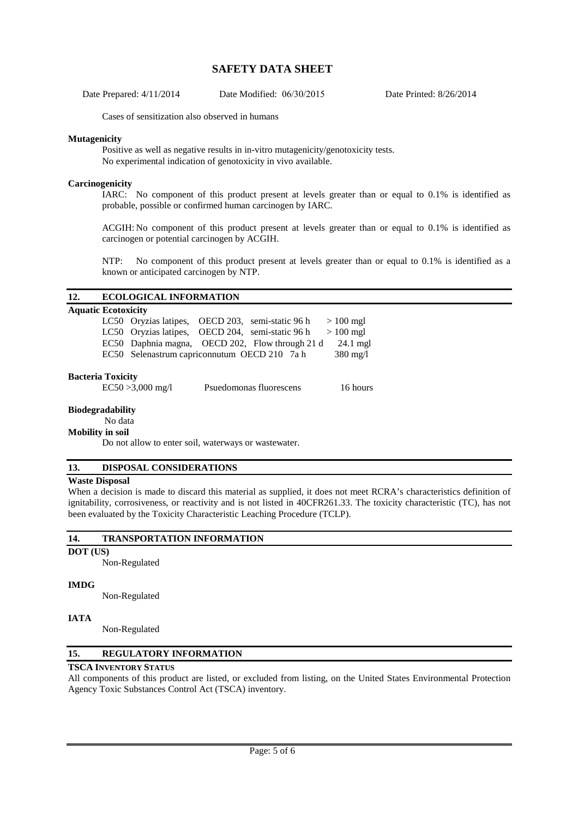Date Prepared: 4/11/2014 Date Modified: 06/30/2015 Date Printed: 8/26/2014

Cases of sensitization also observed in humans

## **Mutagenicity**

Positive as well as negative results in in-vitro mutagenicity/genotoxicity tests. No experimental indication of genotoxicity in vivo available.

## **Carcinogenicity**

IARC: No component of this product present at levels greater than or equal to 0.1% is identified as probable, possible or confirmed human carcinogen by IARC.

ACGIH: No component of this product present at levels greater than or equal to 0.1% is identified as carcinogen or potential carcinogen by ACGIH.

NTP: No component of this product present at levels greater than or equal to 0.1% is identified as a known or anticipated carcinogen by NTP.

# **12. ECOLOGICAL INFORMATION**

# **Aquatic Ecotoxicity**

| IU L'UUUAIUIV |                                                  |                         |  |                    |
|---------------|--------------------------------------------------|-------------------------|--|--------------------|
|               | LC50 Oryzias latipes, OECD 203, semi-static 96 h |                         |  | $>100$ mgl         |
|               | LC50 Oryzias latipes, OECD 204, semi-static 96 h |                         |  | $>100$ mgl         |
|               | EC50 Daphnia magna, OECD 202, Flow through 21 d  |                         |  | $24.1$ mgl         |
|               | EC50 Selenastrum capriconnutum OECD 210 7a h     |                         |  | $380 \text{ mg/l}$ |
| ria Toxicitv  | $ECS0 \times 2.000 \text{ m} \text{s}$           | Douadamanas fluorassans |  | $16 \text{ hours}$ |
|               |                                                  |                         |  |                    |

# **Bacter**

EC50 >3,000 mg/l Psuedomonas fluorescens 16 hours

**Biodegradability** 

# No data

**Mobility in soil** 

Do not allow to enter soil, waterways or wastewater.

# **13. DISPOSAL CONSIDERATIONS**

#### **Waste Disposal**

When a decision is made to discard this material as supplied, it does not meet RCRA's characteristics definition of ignitability, corrosiveness, or reactivity and is not listed in 40CFR261.33. The toxicity characteristic (TC), has not been evaluated by the Toxicity Characteristic Leaching Procedure (TCLP).

#### **14. TRANSPORTATION INFORMATION**

**DOT (US)** 

Non-Regulated

# **IMDG**

Non-Regulated

# **IATA**

Non-Regulated

# **15. REGULATORY INFORMATION**

## **TSCA INVENTORY STATUS**

All components of this product are listed, or excluded from listing, on the United States Environmental Protection Agency Toxic Substances Control Act (TSCA) inventory.